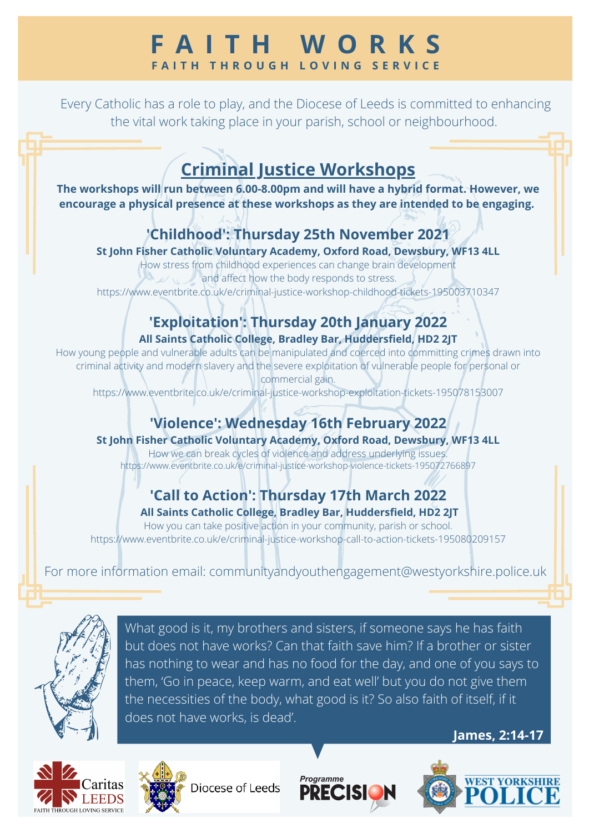## **F A I T H W O R K S F A I T H T H R O U G H L O V I N G S E R V I C E**

Every Catholic has a role to play, and the Diocese of Leeds is committed to enhancing the vital work taking place in your parish, school or neighbourhood.

# **Criminal Justice Workshops**

**The workshops will run between 6.00-8.00pm and will have a hybrid format. However, we encourage a physical presence at these workshops as they are intended to be engaging.**

### **'Childhood': Thursday 25th November 2021**

**St John Fisher Catholic Voluntary Academy, Oxford Road, Dewsbury, WF13 4LL**

How stress from childhood experiences can change brain development  $\omega \setminus \omega$  and affect how the body responds to stress. [https://www.eventbrite.co.uk/e/criminal-justice-workshop-childhood-tickets-195003710347](https://eur03.safelinks.protection.outlook.com/?url=https%3A%2F%2Fwww.eventbrite.co.uk%2Fe%2Fcriminal-justice-workshop-childhood-tickets-195003710347&data=04%7C01%7Colivia.woolley%40westyorkshire.police.uk%7C74f0d5df61a14cfedc3708d99df5d86f%7C681f73102191469b8ea0f76b4a7f699f%7C0%7C0%7C637714501481047428%7CUnknown%7CTWFpbGZsb3d8eyJWIjoiMC4wLjAwMDAiLCJQIjoiV2luMzIiLCJBTiI6Ik1haWwiLCJXVCI6Mn0%3D%7C1000&sdata=T1Gy7ltTLpSVHs9bxFEBrjRAulrwCDdYR3Cz8etNVBc%3D&reserved=0)

#### **'Exploitation': Thursday 20th January 2022 All Saints Catholic College, Bradley Bar, Huddersfield, HD2 2JT**

How young people and vulnerable adults can be manipulated and coerced into committing crimes drawn into criminal activity and modern slavery and the severe exploitation of vulnerable people for personal or commercial gain.

[https://www.eventbrite.co.uk/e/criminal-justice-workshop-exploitation-tickets-195078153007](https://eur03.safelinks.protection.outlook.com/?url=https%3A%2F%2Fwww.eventbrite.co.uk%2Fe%2Fcriminal-justice-workshop-exploitation-tickets-195078153007&data=04%7C01%7Colivia.woolley%40westyorkshire.police.uk%7C74f0d5df61a14cfedc3708d99df5d86f%7C681f73102191469b8ea0f76b4a7f699f%7C0%7C0%7C637714501481057375%7CUnknown%7CTWFpbGZsb3d8eyJWIjoiMC4wLjAwMDAiLCJQIjoiV2luMzIiLCJBTiI6Ik1haWwiLCJXVCI6Mn0%3D%7C1000&sdata=vplK4f87gDJz2%2B4yH5s2yd8kVnYvQ9aF88YaoolrmcQ%3D&reserved=0)

## **'Violence': Wednesday 16th February 2022**

#### **St John Fisher Catholic Voluntary Academy, Oxford Road, Dewsbury, WF13 4LL**

How we can break cycles of violence and address underlying issues. [https://www.eventbrite.co.uk/e/criminal-justice-workshop-violence-tickets-195072766897](https://eur03.safelinks.protection.outlook.com/?url=https%3A%2F%2Fwww.eventbrite.co.uk%2Fe%2Fcriminal-justice-workshop-violence-tickets-195072766897&data=04%7C01%7Colivia.woolley%40westyorkshire.police.uk%7C74f0d5df61a14cfedc3708d99df5d86f%7C681f73102191469b8ea0f76b4a7f699f%7C0%7C0%7C637714501481067317%7CUnknown%7CTWFpbGZsb3d8eyJWIjoiMC4wLjAwMDAiLCJQIjoiV2luMzIiLCJBTiI6Ik1haWwiLCJXVCI6Mn0%3D%7C1000&sdata=3bbHaUW%2Bcc6icuILtCUCX3Gyx5IwtxSc6oTnzSn8Les%3D&reserved=0)

### **'Call to Action': Thursday 17th March 2022 All Saints Catholic College, Bradley Bar, Huddersfield, HD2 2JT**

How you can take positive action in your community, parish or school. [https://www.eventbrite.co.uk/e/criminal-justice-workshop-call-to-action-tickets-195080209157](https://eur03.safelinks.protection.outlook.com/?url=https%3A%2F%2Fwww.eventbrite.co.uk%2Fe%2Fcriminal-justice-workshop-call-to-action-tickets-195080209157&data=04%7C01%7Colivia.woolley%40westyorkshire.police.uk%7C74f0d5df61a14cfedc3708d99df5d86f%7C681f73102191469b8ea0f76b4a7f699f%7C0%7C0%7C637714501481067317%7CUnknown%7CTWFpbGZsb3d8eyJWIjoiMC4wLjAwMDAiLCJQIjoiV2luMzIiLCJBTiI6Ik1haWwiLCJXVCI6Mn0%3D%7C1000&sdata=ozFKq5b%2BxSbRBkf5mYooJ9mW%2FuhyoNRsM1gY0v3MbLo%3D&reserved=0)

For more information email: [communityandyouthengagement@westyorkshire.police.uk](mailto:communityandyouthengagement@westyorkshire.police.uk)



What good is it, my brothers and sisters, if someone says he has faith but does not have works? Can that faith save him? If a brother or sister has nothing to wear and has no food for the day, and one of you says to them, 'Go in peace, keep warm, and eat well' but you do not give them the necessities of the body, what good is it? So also faith of itself, if it does not have works, is dead'.





Diocese of Leeds





**James, 2:14-17**